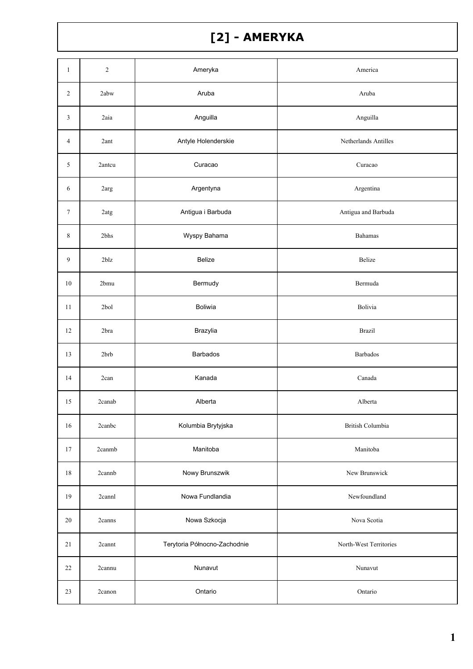## [2] - AMERYKA

| $\mathbf{1}$     | $\sqrt{2}$ | Ameryka                      | America                |
|------------------|------------|------------------------------|------------------------|
| 2                | 2abw       | Aruba                        | Aruba                  |
| 3                | 2aia       | Anguilla                     | Anguilla               |
| 4                | 2ant       | Antyle Holenderskie          | Netherlands Antilles   |
| $\sqrt{5}$       | 2antcu     | Curacao                      | Curacao                |
| 6                | 2arg       | Argentyna                    | Argentina              |
| $\boldsymbol{7}$ | 2atg       | Antigua i Barbuda            | Antigua and Barbuda    |
| $\,8\,$          | 2bhs       | Wyspy Bahama                 | <b>Bahamas</b>         |
| 9                | 2blz       | Belize                       | Belize                 |
| $10\,$           | 2bmu       | Bermudy                      | Bermuda                |
| 11               | 2bol       | Boliwia                      | Bolivia                |
| 12               | 2bra       | Brazylia                     | <b>Brazil</b>          |
| 13               | 2brb       | Barbados                     | Barbados               |
| 14               | 2can       | Kanada                       | Canada                 |
| 15               | 2canab     | Alberta                      | Alberta                |
| $16\,$           | 2canbc     | Kolumbia Brytyjska           | British Columbia       |
| $17\,$           | 2canmb     | Manitoba                     | Manitoba               |
| $18\,$           | 2cannb     | Nowy Brunszwik               | New Brunswick          |
| 19               | 2cannl     | Nowa Fundlandia              | Newfoundland           |
| $20\,$           | 2canns     | Nowa Szkocja                 | Nova Scotia            |
| 21               | 2cannt     | Terytoria Północno-Zachodnie | North-West Territories |
| 22               | 2cannu     | Nunavut                      | Nunavut                |
| 23               | 2canon     | Ontario                      | Ontario                |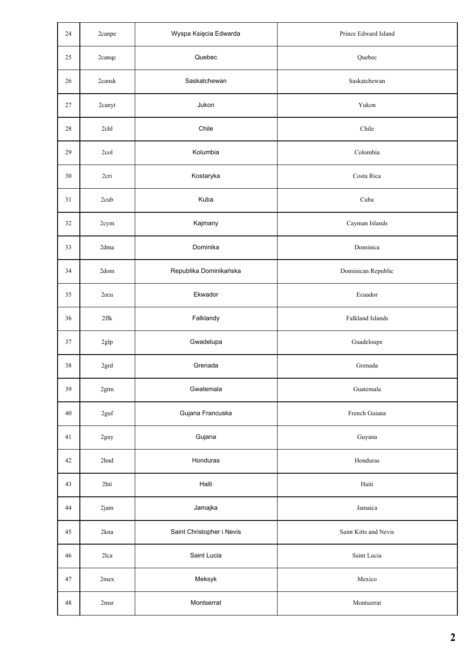| 24     | 2canpe          | Wyspa Księcia Edwarda     | Prince Edward Island  |
|--------|-----------------|---------------------------|-----------------------|
| 25     | 2canqc          | Quebec                    | Quebec                |
| 26     | 2cansk          | Saskatchewan              | Saskatchewan          |
| 27     | 2canyt          | Jukon                     | Yukon                 |
| $28\,$ | 2chl            | Chile                     | Chile                 |
| 29     | 2col            | Kolumbia                  | Colombia              |
| 30     | 2cri            | Kostaryka                 | Costa Rica            |
| 31     | 2cub            | Kuba                      | Cuba                  |
| 32     | 2cym            | Kajmany                   | Cayman Islands        |
| 33     | 2dma            | Dominika                  | Dominica              |
| 34     | 2dom            | Republika Dominikańska    | Dominican Republic    |
| 35     | 2ecu            | Ekwador                   | Ecuador               |
| 36     | $2$ flk         | Falklandy                 | Falkland Islands      |
| 37     | 2glp            | Gwadelupa                 | Guadeloupe            |
| 38     | 2grd            | Grenada                   | Grenada               |
| 39     | 2gtm            | Gwatemala                 | Guatemala             |
| 40     | 2guf            | Gujana Francuska          | French Guiana         |
| 41     | 2guy            | Gujana                    | Guyana                |
| 42     | 2hnd            | Honduras                  | Honduras              |
| 43     | 2hti            | Haiti                     | Haiti                 |
| 44     | 2jam            | Jamajka                   | Jamaica               |
| 45     | 2kna            | Saint Christopher i Nevis | Saint Kitts and Nevis |
| 46     | 2lca            | Saint Lucia               | Saint Lucia           |
| 47     | 2mex            | Meksyk                    | Mexico                |
| 48     | $2\mathrm{msr}$ | Montserrat                | Montserrat            |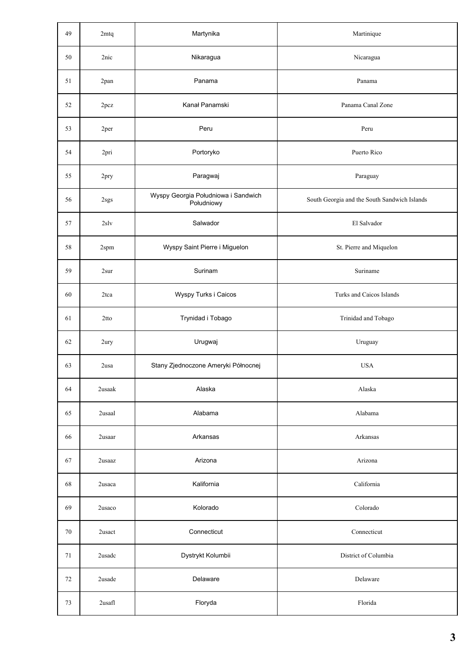| 49     | 2mtq             | Martynika                                         | Martinique                                   |
|--------|------------------|---------------------------------------------------|----------------------------------------------|
| 50     | 2nic             | Nikaragua                                         | Nicaragua                                    |
| 51     | 2pan             | Panama                                            | Panama                                       |
| 52     | 2pcz             | Kanał Panamski                                    | Panama Canal Zone                            |
| 53     | 2per             | Peru                                              | Peru                                         |
| 54     | 2pri             | Portoryko                                         | Puerto Rico                                  |
| 55     | 2pry             | Paragwaj                                          | Paraguay                                     |
| 56     | $2sgs$           | Wyspy Georgia Południowa i Sandwich<br>Południowy | South Georgia and the South Sandwich Islands |
| 57     | $2s$ lv          | Salwador                                          | El Salvador                                  |
| 58     | 2spm             | Wyspy Saint Pierre i Miguelon                     | St. Pierre and Miquelon                      |
| 59     | 2 <sub>sur</sub> | Surinam                                           | Suriname                                     |
| 60     | 2tca             | Wyspy Turks i Caicos                              | Turks and Caicos Islands                     |
| 61     | 2tto             | Trynidad i Tobago                                 | Trinidad and Tobago                          |
| 62     | 2ury             | Urugwaj                                           | Uruguay                                      |
| 63     | 2usa             | Stany Zjednoczone Ameryki Północnej               | <b>USA</b>                                   |
| 64     | 2usaak           | Alaska                                            | Alaska                                       |
| 65     | 2usaal           | Alabama                                           | Alabama                                      |
| 66     | 2usaar           | Arkansas                                          | Arkansas                                     |
| 67     | 2usaaz           | Arizona                                           | Arizona                                      |
| 68     | 2usaca           | Kalifornia                                        | California                                   |
| 69     | 2usaco           | Kolorado                                          | Colorado                                     |
| 70     | 2usact           | Connecticut                                       | Connecticut                                  |
| 71     | 2usadc           | Dystrykt Kolumbii                                 | District of Columbia                         |
| $72\,$ | 2usade           | Delaware                                          | Delaware                                     |
| 73     | 2usafl           | Floryda                                           | Florida                                      |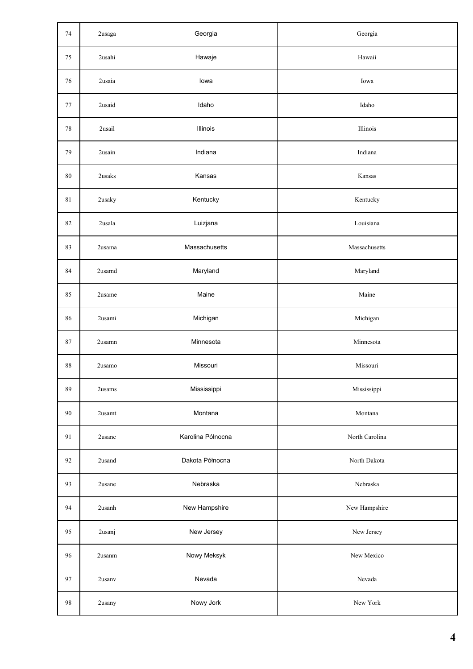| 74          | 2usaga | Georgia           | Georgia        |
|-------------|--------|-------------------|----------------|
| 75          | 2usahi | Hawaje            | Hawaii         |
| 76          | 2usaia | lowa              | Iowa           |
| $77\,$      | 2usaid | Idaho             | Idaho          |
| $78\,$      | 2usail | Illinois          | Illinois       |
| 79          | 2usain | Indiana           | Indiana        |
| $80\,$      | 2usaks | Kansas            | Kansas         |
| $8\sqrt{1}$ | 2usaky | Kentucky          | Kentucky       |
| 82          | 2usala | Luizjana          | Louisiana      |
| 83          | 2usama | Massachusetts     | Massachusetts  |
| 84          | 2usamd | Maryland          | Maryland       |
| 85          | 2usame | Maine             | Maine          |
| 86          | 2usami | Michigan          | Michigan       |
| $\bf 87$    | 2usamn | Minnesota         | Minnesota      |
| $88\,$      | 2usamo | Missouri          | Missouri       |
| 89          | 2usams | Mississippi       | Mississippi    |
| 90          | 2usamt | Montana           | Montana        |
| 91          | 2usanc | Karolina Północna | North Carolina |
| 92          | 2usand | Dakota Północna   | North Dakota   |
| 93          | 2usane | Nebraska          | Nebraska       |
| 94          | 2usanh | New Hampshire     | New Hampshire  |
| 95          | 2usanj | New Jersey        | New Jersey     |
| 96          | 2usanm | Nowy Meksyk       | New Mexico     |
| 97          | 2usanv | Nevada            | Nevada         |
| 98          | $2u\!$ | Nowy Jork         | New York       |